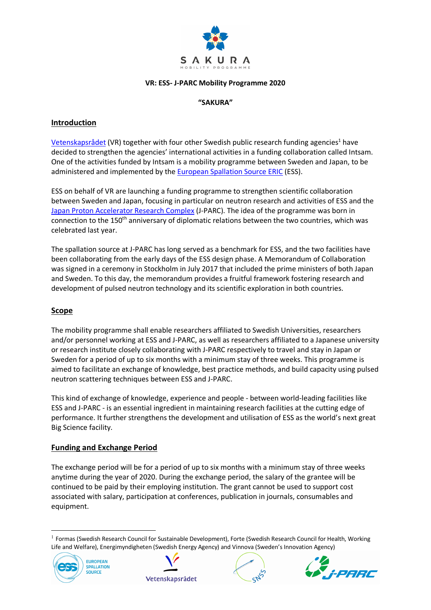

#### **VR: ESS- J-PARC Mobility Programme 2020**

# **"SAKURA"**

# **Introduction**

Vetenskapsrådet (VR) together with four other Swedish public research funding agencies<sup>1</sup> have decided to strengthen the agencies' international activities in a funding collaboration called Intsam. One of the activities funded by Intsam is a mobility programme between Sweden and Japan, to be administered and implemented by the European Spallation Source ERIC (ESS).

ESS on behalf of VR are launching a funding programme to strengthen scientific collaboration between Sweden and Japan, focusing in particular on neutron research and activities of ESS and the Japan Proton Accelerator Research Complex (J-PARC). The idea of the programme was born in connection to the 150<sup>th</sup> anniversary of diplomatic relations between the two countries, which was celebrated last year.

The spallation source at J-PARC has long served as a benchmark for ESS, and the two facilities have been collaborating from the early days of the ESS design phase. A Memorandum of Collaboration was signed in a ceremony in Stockholm in July 2017 that included the prime ministers of both Japan and Sweden. To this day, the memorandum provides a fruitful framework fostering research and development of pulsed neutron technology and its scientific exploration in both countries.

# **Scope**

The mobility programme shall enable researchers affiliated to Swedish Universities, researchers and/or personnel working at ESS and J-PARC, as well as researchers affiliated to a Japanese university or research institute closely collaborating with J-PARC respectively to travel and stay in Japan or Sweden for a period of up to six months with a minimum stay of three weeks. This programme is aimed to facilitate an exchange of knowledge, best practice methods, and build capacity using pulsed neutron scattering techniques between ESS and J-PARC.

This kind of exchange of knowledge, experience and people - between world-leading facilities like ESS and J-PARC - is an essential ingredient in maintaining research facilities at the cutting edge of performance. It further strengthens the development and utilisation of ESS as the world's next great Big Science facility.

## **Funding and Exchange Period**

The exchange period will be for a period of up to six months with a minimum stay of three weeks anytime during the year of 2020. During the exchange period, the salary of the grantee will be continued to be paid by their employing institution. The grant cannot be used to support cost associated with salary, participation at conferences, publication in journals, consumables and equipment.

 $1$  Formas (Swedish Research Council for Sustainable Development), Forte (Swedish Research Council for Health, Working Life and Welfare), Energimyndigheten (Swedish Energy Agency) and Vinnova (Sweden's Innovation Agency)







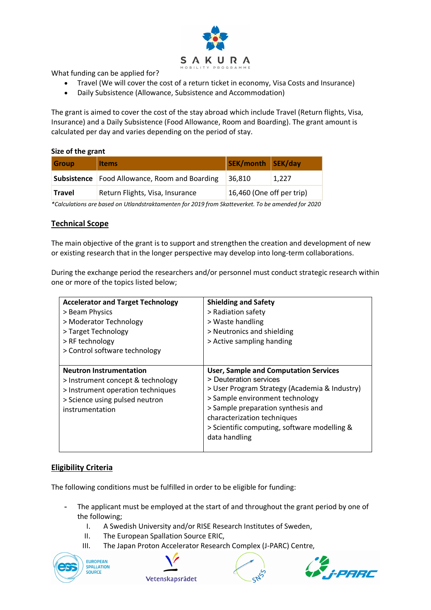

What funding can be applied for?

- Travel (We will cover the cost of a return ticket in economy, Visa Costs and Insurance)
- Daily Subsistence (Allowance, Subsistence and Accommodation)

The grant is aimed to cover the cost of the stay abroad which include Travel (Return flights, Visa, Insurance) and a Daily Subsistence (Food Allowance, Room and Boarding). The grant amount is calculated per day and varies depending on the period of stay.

#### **Size of the grant**

| <b>Group</b>                                                                                      | <b>Items</b>                      | SEK/month SEK/day         |       |  |
|---------------------------------------------------------------------------------------------------|-----------------------------------|---------------------------|-------|--|
| Subsistence                                                                                       | Food Allowance, Room and Boarding | 36,810                    | 1,227 |  |
| <b>Travel</b>                                                                                     | Return Flights, Visa, Insurance   | 16,460 (One off per trip) |       |  |
| *Calculations are based on Utlandstraktamenten for 2019 from Skatteverket. To be amended for 2020 |                                   |                           |       |  |

## **Technical Scope**

The main objective of the grant is to support and strengthen the creation and development of new or existing research that in the longer perspective may develop into long-term collaborations.

During the exchange period the researchers and/or personnel must conduct strategic research within one or more of the topics listed below;

| <b>Accelerator and Target Technology</b><br>> Beam Physics<br>> Moderator Technology<br>> Target Technology<br>> RF technology<br>> Control software technology | <b>Shielding and Safety</b><br>> Radiation safety<br>> Waste handling<br>> Neutronics and shielding<br>> Active sampling handing                                                                                                                                                                 |
|-----------------------------------------------------------------------------------------------------------------------------------------------------------------|--------------------------------------------------------------------------------------------------------------------------------------------------------------------------------------------------------------------------------------------------------------------------------------------------|
| <b>Neutron Instrumentation</b><br>> Instrument concept & technology<br>> Instrument operation techniques<br>> Science using pulsed neutron<br>instrumentation   | <b>User, Sample and Computation Services</b><br>> Deuteration services<br>> User Program Strategy (Academia & Industry)<br>> Sample environment technology<br>> Sample preparation synthesis and<br>characterization techniques<br>> Scientific computing, software modelling &<br>data handling |

# **Eligibility Criteria**

The following conditions must be fulfilled in order to be eligible for funding:

- The applicant must be employed at the start of and throughout the grant period by one of the following;
	- I. A Swedish University and/or RISE Research Institutes of Sweden,
	- II. The European Spallation Source ERIC,
	- III. The Japan Proton Accelerator Research Complex (J-PARC) Centre,







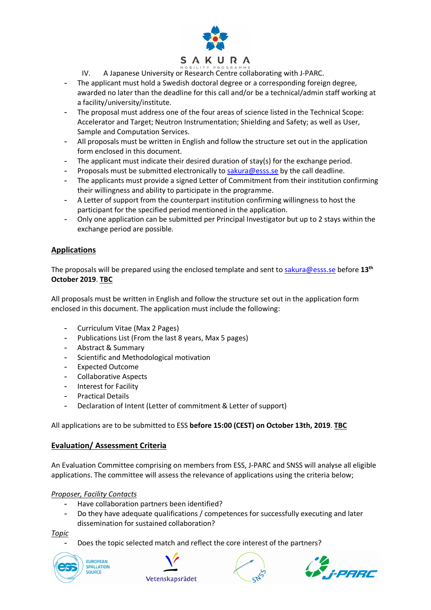

IV. A Japanese University or Research Centre collaborating with J-PARC.

- The applicant must hold a Swedish doctoral degree or a corresponding foreign degree, awarded no later than the deadline for this call and/or be a technical/admin staff working at a facility/university/institute.
- The proposal must address one of the four areas of science listed in the Technical Scope: Accelerator and Target; Neutron Instrumentation; Shielding and Safety; as well as User, Sample and Computation Services.
- All proposals must be written in English and follow the structure set out in the application form enclosed in this document.
- The applicant must indicate their desired duration of stay(s) for the exchange period.
- Proposals must be submitted electronically to sakura@esss.se by the call deadline.
- The applicants must provide a signed Letter of Commitment from their institution confirming their willingness and ability to participate in the programme.
- A Letter of support from the counterpart institution confirming willingness to host the participant for the specified period mentioned in the application.
- Only one application can be submitted per Principal Investigator but up to 2 stays within the exchange period are possible.

# **Applications**

The proposals will be prepared using the enclosed template and sent to sakura@esss.se before **13th October 2019**. **TBC**

All proposals must be written in English and follow the structure set out in the application form enclosed in this document. The application must include the following:

- Curriculum Vitae (Max 2 Pages)
- Publications List (From the last 8 years, Max 5 pages)
- Abstract & Summary
- Scientific and Methodological motivation
- Expected Outcome
- Collaborative Aspects
- Interest for Facility
- Practical Details
- Declaration of Intent (Letter of commitment & Letter of support)

## All applications are to be submitted to ESS **before 15:00 (CEST) on October 13th, 2019**. **TBC**

## **Evaluation/ Assessment Criteria**

An Evaluation Committee comprising on members from ESS, J-PARC and SNSS will analyse all eligible applications. The committee will assess the relevance of applications using the criteria below;

## *Proposer, Facility Contacts*

- Have collaboration partners been identified?
- Do they have adequate qualifications / competences for successfully executing and later dissemination for sustained collaboration?

*Topic*

Does the topic selected match and reflect the core interest of the partners?